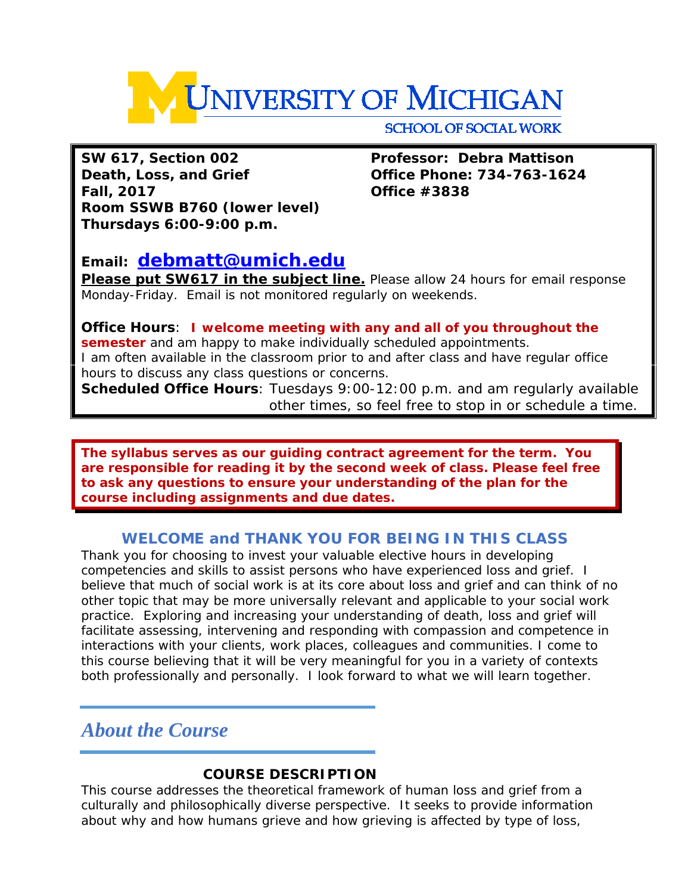

**SW 617, Section 002 Professor: Debra Mattison Death, Loss, and Grief Office Phone: 734-763-1624 Fall, 2017 Office #3838 Room SSWB B760 (lower level) Thursdays 6:00-9:00 p.m.**

# **Email: [debmatt@umich.edu](mailto:debmatt@umich.edu)**

**Please put SW617 in the subject line.** Please allow 24 hours for email response Monday-Friday. Email is not monitored regularly on weekends.

**Office Hours**: **I welcome meeting with any and all of you throughout the semester** and am happy to make individually scheduled appointments. I am often available in the classroom prior to and after class and have regular office hours to discuss any class questions or concerns.

**Scheduled Office Hours**: Tuesdays 9:00-12:00 p.m. and am regularly available other times, so feel free to stop in or schedule a time.

**The syllabus serves as our guiding contract agreement for the term. You are responsible for reading it by the second week of class. Please feel free to ask any questions to ensure your understanding of the plan for the course including assignments and due dates.** 

# **WELCOME and THANK YOU FOR BEING IN THIS CLASS**

Thank you for choosing to invest your valuable elective hours in developing competencies and skills to assist persons who have experienced loss and grief. I believe that much of social work is at its core about loss and grief and can think of no other topic that may be more universally relevant and applicable to your social work practice. Exploring and increasing your understanding of death, loss and grief will facilitate assessing, intervening and responding with compassion and competence in interactions with your clients, work places, colleagues and communities. I come to this course believing that it will be very meaningful for you in a variety of contexts both professionally and personally. I look forward to what we will learn together.

# *About the Course*

# **COURSE DESCRIPTION**

This course addresses the theoretical framework of human loss and grief from a culturally and philosophically diverse perspective. It seeks to provide information about why and how humans grieve and how grieving is affected by type of loss,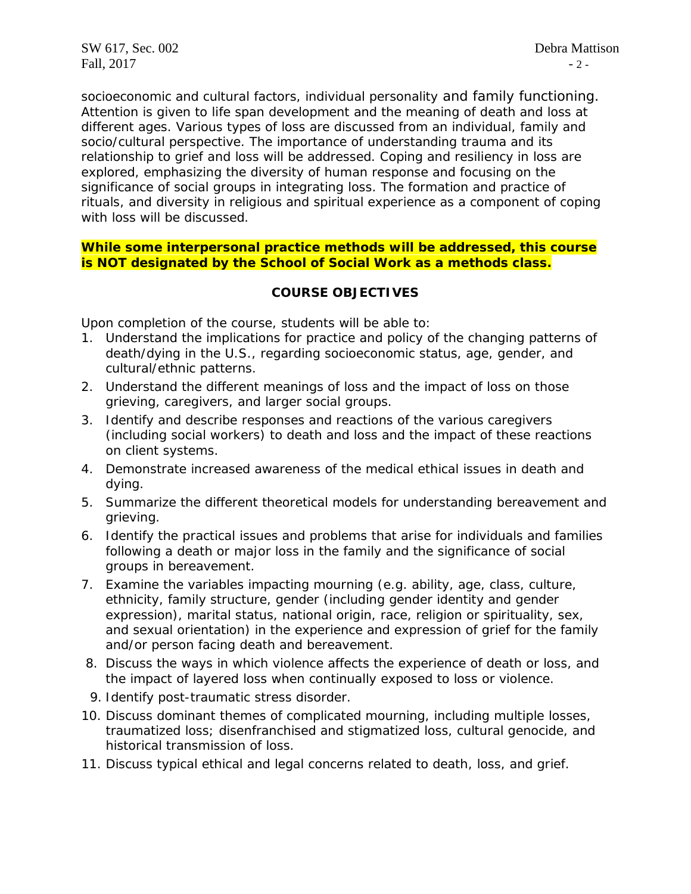socioeconomic and cultural factors, individual personality and family functioning. Attention is given to life span development and the meaning of death and loss at different ages. Various types of loss are discussed from an individual, family and socio/cultural perspective. The importance of understanding trauma and its relationship to grief and loss will be addressed. Coping and resiliency in loss are explored, emphasizing the diversity of human response and focusing on the significance of social groups in integrating loss. The formation and practice of rituals, and diversity in religious and spiritual experience as a component of coping with loss will be discussed.

### **While some interpersonal practice methods will be addressed, this course is NOT designated by the School of Social Work as a methods class.**

# **COURSE OBJECTIVES**

Upon completion of the course, students will be able to:

- 1. Understand the implications for practice and policy of the changing patterns of death/dying in the U.S., regarding socioeconomic status, age, gender, and cultural/ethnic patterns.
- 2. Understand the different meanings of loss and the impact of loss on those grieving, caregivers, and larger social groups.
- 3. Identify and describe responses and reactions of the various caregivers (including social workers) to death and loss and the impact of these reactions on client systems.
- 4. Demonstrate increased awareness of the medical ethical issues in death and dying.
- 5. Summarize the different theoretical models for understanding bereavement and grieving.
- 6. Identify the practical issues and problems that arise for individuals and families following a death or major loss in the family and the significance of social groups in bereavement.
- 7. Examine the variables impacting mourning (e.g. ability, age, class, culture, ethnicity, family structure, gender (including gender identity and gender expression), marital status, national origin, race, religion or spirituality, sex, and sexual orientation) in the experience and expression of grief for the family and/or person facing death and bereavement.
- 8. Discuss the ways in which violence affects the experience of death or loss, and the impact of layered loss when continually exposed to loss or violence.
- 9. Identify post-traumatic stress disorder.
- 10. Discuss dominant themes of complicated mourning, including multiple losses, traumatized loss; disenfranchised and stigmatized loss, cultural genocide, and historical transmission of loss.
- 11. Discuss typical ethical and legal concerns related to death, loss, and grief.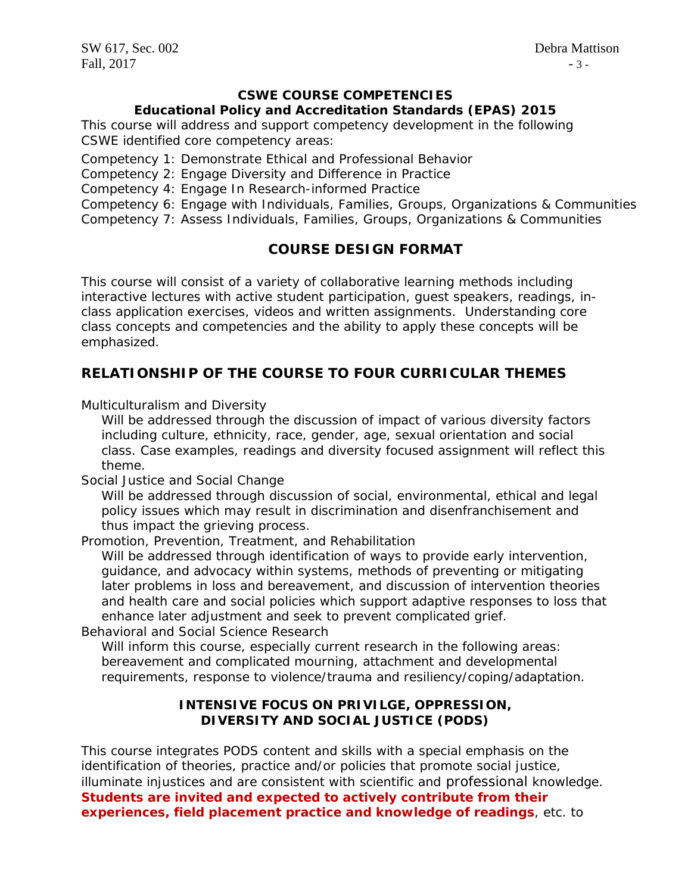# **CSWE COURSE COMPETENCIES**

#### **Educational Policy and Accreditation Standards (EPAS) 2015**

This course will address and support competency development in the following CSWE identified core competency areas:

Competency 1: Demonstrate Ethical and Professional Behavior

Competency 2: Engage Diversity and Difference in Practice

Competency 4: Engage In Research-informed Practice

Competency 6: Engage with Individuals, Families, Groups, Organizations & Communities Competency 7: Assess Individuals, Families, Groups, Organizations & Communities

# **COURSE DESIGN FORMAT**

This course will consist of a variety of collaborative learning methods including interactive lectures with active student participation, guest speakers, readings, inclass application exercises, videos and written assignments. Understanding core class concepts and competencies and the ability to apply these concepts will be emphasized.

# **RELATIONSHIP OF THE COURSE TO FOUR CURRICULAR THEMES**

*Multiculturalism and Diversity*

Will be addressed through the discussion of impact of various diversity factors including culture, ethnicity, race, gender, age, sexual orientation and social class. Case examples, readings and diversity focused assignment will reflect this theme.

*Social Justice and Social Change* 

Will be addressed through discussion of social, environmental, ethical and legal policy issues which may result in discrimination and disenfranchisement and thus impact the grieving process.

*Promotion, Prevention, Treatment, and Rehabilitation* 

Will be addressed through identification of ways to provide early intervention, guidance, and advocacy within systems, methods of preventing or mitigating later problems in loss and bereavement, and discussion of intervention theories and health care and social policies which support adaptive responses to loss that enhance later adjustment and seek to prevent complicated grief.

*Behavioral and Social Science Research* 

Will inform this course, especially current research in the following areas: bereavement and complicated mourning, attachment and developmental requirements, response to violence/trauma and resiliency/coping/adaptation.

# **INTENSIVE FOCUS ON PRIVILGE, OPPRESSION, DIVERSITY AND SOCIAL JUSTICE (PODS)**

This course integrates PODS content and skills with a special emphasis on the identification of theories, practice and/or policies that promote social justice, illuminate injustices and are consistent with scientific and professional knowledge. **Students are invited and expected to actively contribute from their experiences, field placement practice and knowledge of readings**, etc. to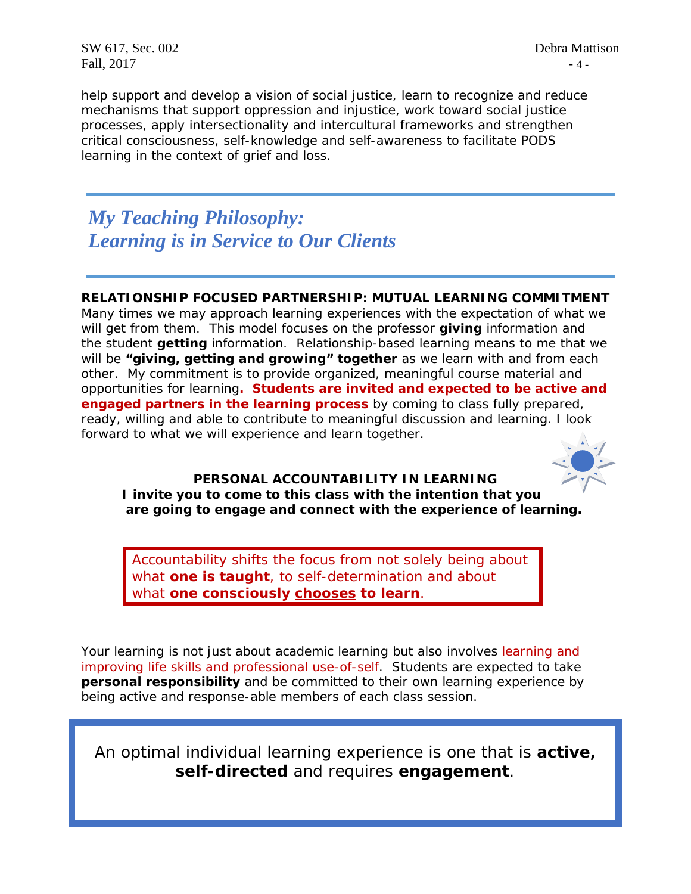SW 617, Sec. 002 Debra Mattison Fall,  $2017$  - 4 -

help support and develop a vision of social justice, learn to recognize and reduce mechanisms that support oppression and injustice, work toward social justice processes, apply intersectionality and intercultural frameworks and strengthen critical consciousness, self-knowledge and self-awareness to facilitate PODS learning in the context of grief and loss.

# *My Teaching Philosophy: Learning is in Service to Our Clients*

# **RELATIONSHIP FOCUSED PARTNERSHIP: MUTUAL LEARNING COMMITMENT**

Many times we may approach learning experiences with the expectation of what we will get from them. This model focuses on the professor **giving** information and the student **getting** information. Relationship-based learning means to me that we will be **"giving, getting and growing" together** as we learn *with* and *from* each other. My commitment is to provide organized, meaningful course material and opportunities for learning**. Students are invited and expected to be active and engaged partners in the learning process** by coming to class fully prepared, ready, willing and able to contribute to meaningful discussion and learning. I look forward to what we will experience and learn together.



### **PERSONAL ACCOUNTABILITY IN LEARNING** *I invite you to come to this class with the intention that you are going to engage and connect with the experience of learning.*

Accountability shifts the focus from *not solely* being *about*  what *one is taught,* to self-determination and about what **one** *consciously chooses to learn.*

Your learning is not just about academic learning but also involves learning and improving life skills and professional use-of-self. Students are expected to take **personal responsibility** and be committed to their own learning experience by being active and response-able members of each class session.

An optimal individual learning experience is one that is **active, self-directed** and requires **engagement**.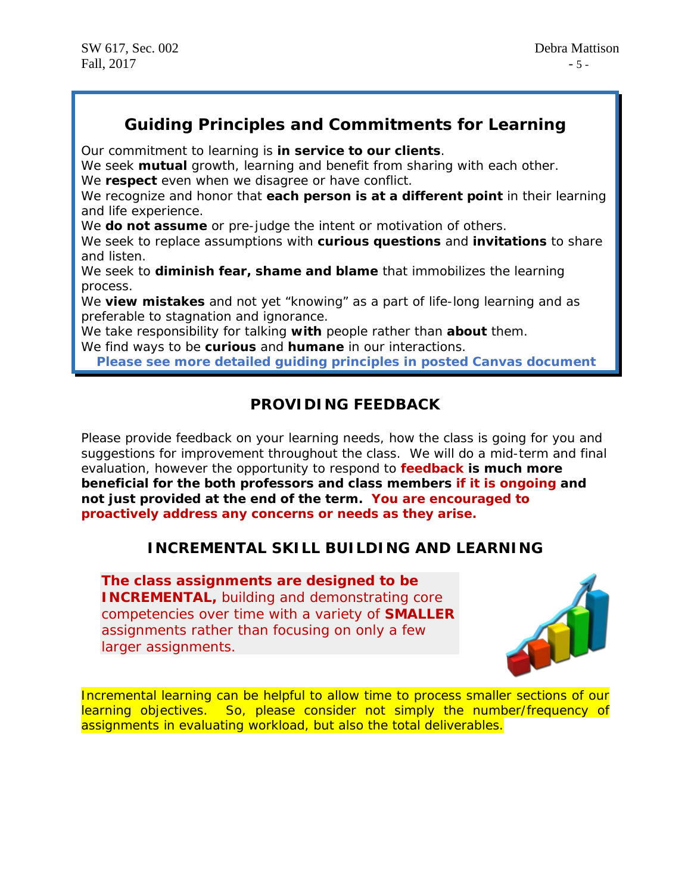# *Guiding Principles and Commitments for Learning*

*Our commitment to learning is in service to our clients.*

We seek **mutual** growth, learning and benefit from sharing with each other. *We respect even when we disagree or have conflict.*

We recognize and honor that **each person is at a different point** in their learning and life experience.

*We do not assume or pre-judge the intent or motivation of others.*

We seek to replace assumptions with **curious questions** and **invitations** to share and listen.

*We seek to diminish fear, shame and blame that immobilizes the learning process.*

We **view mistakes** and not yet "knowing" as a part of life-long learning and as preferable to stagnation and ignorance.

*We take responsibility for talking with people rather than about them.*

*We find ways to be curious and humane in our interactions.*

**Please see more detailed guiding principles in posted Canvas document**

# **PROVIDING FEEDBACK**

Please provide feedback on your learning needs, how the class is going for you and suggestions for improvement throughout the class. We will do a mid-term and final evaluation, however the opportunity to respond to **feedback is much more beneficial for the both professors and class members if it is ongoing and not just provided at the end of the term. You are encouraged to proactively address any concerns or needs as they arise.**

# **INCREMENTAL SKILL BUILDING AND LEARNING**

**The class assignments are designed to be INCREMENTAL, building and demonstrating core** competencies over time with a variety of **SMALLER**  assignments rather than focusing on only a few larger assignments.



Incremental learning can be helpful to allow time to process smaller sections of our learning objectives. So, please consider not simply the number/frequency of assignments in evaluating workload, but also the total deliverables.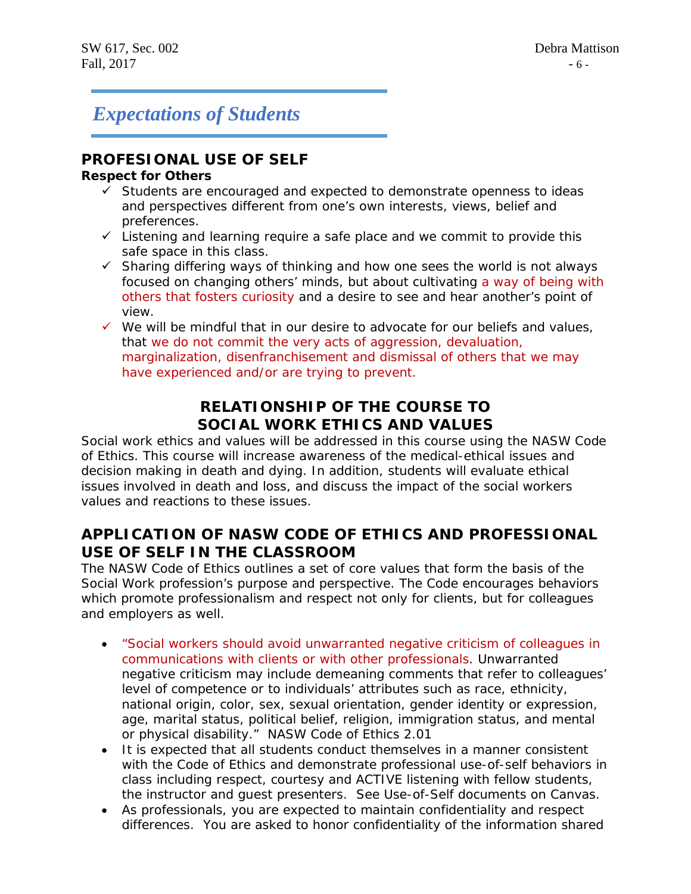# *Expectations of Students*

# **PROFESIONAL USE OF SELF**

## **Respect for Others**

- $\checkmark$  Students are encouraged and expected to demonstrate openness to ideas and perspectives different from one's own interests, views, belief and preferences.
- $\checkmark$  Listening and learning require a safe place and we commit to provide this safe space in this class.
- $\checkmark$  Sharing differing ways of thinking and how one sees the world is not always focused on changing others' minds, but about cultivating a way of being with others that fosters curiosity and a desire to see and hear another's point of view.
- $\checkmark$  We will be mindful that in our desire to advocate for our beliefs and values, that we do not commit the very acts of aggression, devaluation, marginalization, disenfranchisement and dismissal of others that we may have experienced and/or are trying to prevent.

# **RELATIONSHIP OF THE COURSE TO SOCIAL WORK ETHICS AND VALUES**

Social work ethics and values will be addressed in this course using the NASW Code of Ethics. This course will increase awareness of the medical-ethical issues and decision making in death and dying. In addition, students will evaluate ethical issues involved in death and loss, and discuss the impact of the social workers values and reactions to these issues.

# **APPLICATION OF NASW CODE OF ETHICS AND PROFESSIONAL USE OF SELF IN THE CLASSROOM**

The NASW Code of Ethics outlines a set of core values that form the basis of the Social Work profession's purpose and perspective. The Code encourages behaviors which promote professionalism and respect not only for clients, but for colleagues and employers as well.

- *"Social workers should avoid unwarranted negative criticism of colleagues in communications with clients or with other professionals. Unwarranted negative criticism may include demeaning comments that refer to colleagues' level of competence or to individuals' attributes such as race, ethnicity, national origin, color, sex, sexual orientation, gender identity or expression, age, marital status, political belief, religion, immigration status, and mental or physical disability."* NASW Code of Ethics 2.01
- It is expected that all students conduct themselves in a manner consistent with the Code of Ethics and demonstrate professional use-of-self behaviors in class including respect, courtesy and ACTIVE listening with fellow students, the instructor and guest presenters. See Use-of-Self documents on Canvas.
- As professionals, you are expected to maintain confidentiality and respect differences. You are asked to honor confidentiality of the information shared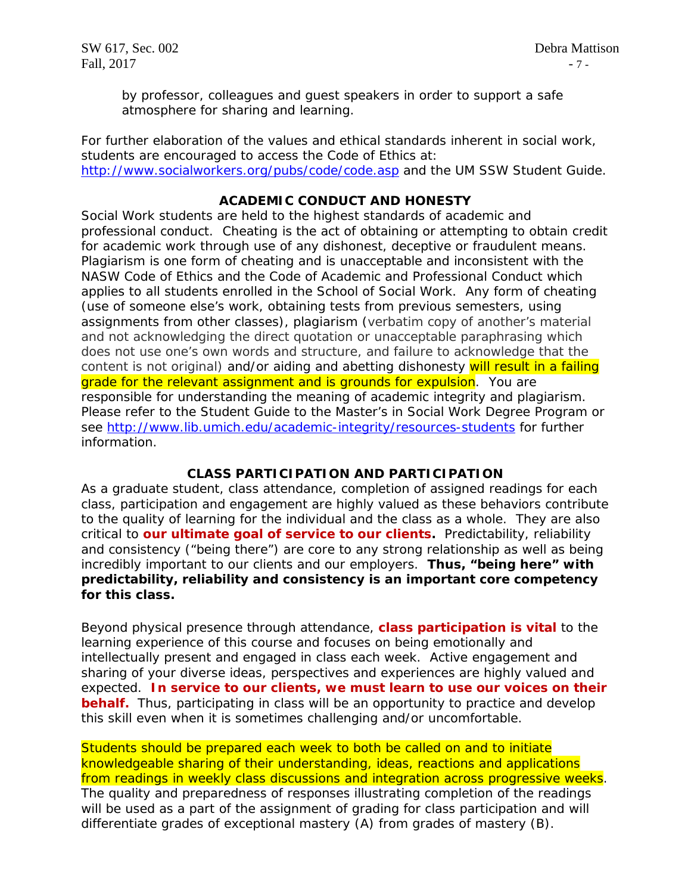by professor, colleagues and guest speakers in order to support a safe atmosphere for sharing and learning.

For further elaboration of the values and ethical standards inherent in social work, students are encouraged to access the Code of Ethics at: <http://www.socialworkers.org/pubs/code/code.asp> and the UM SSW Student Guide.

# **ACADEMIC CONDUCT AND HONESTY**

Social Work students are held to the highest standards of academic and professional conduct. Cheating is the act of obtaining or attempting to obtain credit for academic work through use of any dishonest, deceptive or fraudulent means. Plagiarism is one form of cheating and is unacceptable and inconsistent with the NASW Code of Ethics and the Code of Academic and Professional Conduct which applies to all students enrolled in the School of Social Work. Any form of cheating (use of someone else's work, obtaining tests from previous semesters, using assignments from other classes), plagiarism (verbatim copy of another's material and not acknowledging the direct quotation or unacceptable paraphrasing which does not use one's own words and structure, and failure to acknowledge that the content is not original) and/or aiding and abetting dishonesty will result in a failing grade for the relevant assignment and is grounds for expulsion. You are responsible for understanding the meaning of academic integrity and plagiarism. Please refer to the Student Guide to the Master's in Social Work Degree Program or see <http://www.lib.umich.edu/academic-integrity/resources-students> for further information.

# **CLASS PARTICIPATION AND PARTICIPATION**

As a graduate student, class attendance, completion of assigned readings for each class, participation and engagement are highly valued as these behaviors contribute to the quality of learning for the individual and the class as a whole. They are also critical to **our ultimate goal of service to our clients.** Predictability, reliability and consistency ("being there") are core to any strong relationship as well as being incredibly important to our clients and our employers. **Thus, "being here" with predictability, reliability and consistency is an important core competency for this class.** 

Beyond physical presence through attendance, **class participation is vital** to the learning experience of this course and focuses on being emotionally and intellectually present and engaged in class each week. Active engagement and sharing of your diverse ideas, perspectives and experiences are highly valued and expected. **In service to our clients, we must learn to use our voices on their behalf.** Thus, participating in class will be an opportunity to practice and develop this skill even when it is sometimes challenging and/or uncomfortable.

Students should be prepared each week to both be called on and to initiate knowledgeable sharing of their understanding, ideas, reactions and applications from readings in weekly class discussions and integration across progressive weeks. The quality and preparedness of responses illustrating completion of the readings will be used as a part of the assignment of grading for class participation and will differentiate grades of exceptional mastery (A) from grades of mastery (B).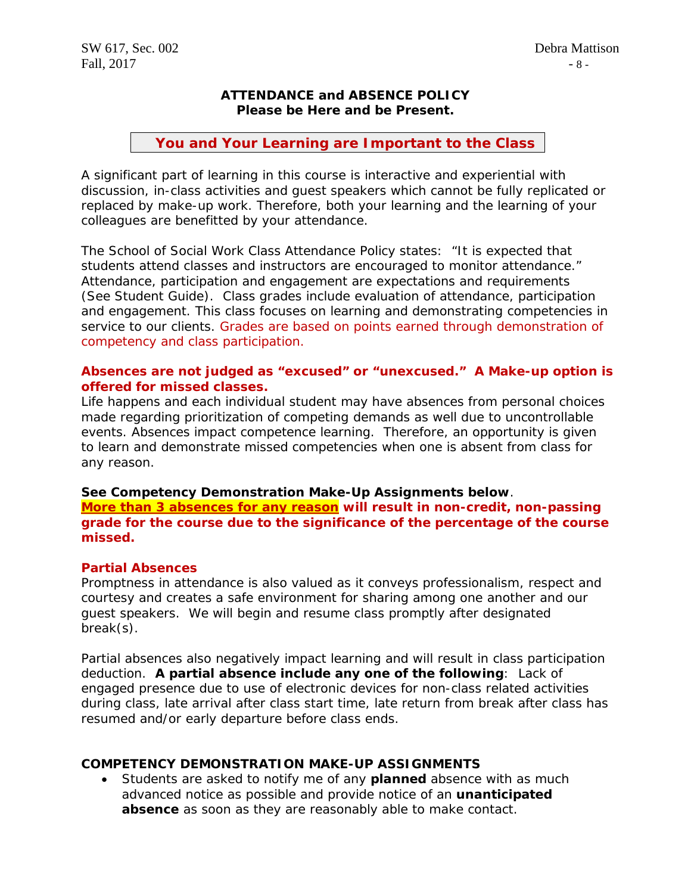# **ATTENDANCE and ABSENCE POLICY Please be Here and be Present.**

# **You and Your Learning are Important to the Class**

A significant part of learning in this course is interactive and experiential with discussion, in-class activities and guest speakers which cannot be fully replicated or replaced by make-up work. Therefore, both your learning and the learning of your colleagues are benefitted by your attendance.

The School of Social Work Class Attendance Policy states: "It is expected that students attend classes and instructors are encouraged to monitor attendance." Attendance, participation and engagement are expectations and requirements (See Student Guide). Class grades include evaluation of attendance, participation and engagement. This class focuses on learning and demonstrating competencies in service to our clients. Grades are based on points earned through demonstration of competency and class participation.

## **Absences are not judged as "excused" or "unexcused." A Make-up option is offered for missed classes.**

Life happens and each individual student may have absences from personal choices made regarding prioritization of competing demands as well due to uncontrollable events. Absences impact competence learning. Therefore, an opportunity is given to learn and demonstrate missed competencies when one is absent from class for any reason.

# **See Competency Demonstration Make-Up Assignments below**.

**More than 3 absences for any reason will result in non-credit, non-passing grade for the course due to the significance of the percentage of the course missed.**

# **Partial Absences**

Promptness in attendance is also valued as it conveys professionalism, respect and courtesy and creates a safe environment for sharing among one another and our guest speakers. We will begin and resume class promptly after designated break(s).

Partial absences also negatively impact learning and will result in class participation deduction. **A partial absence include any one of the following**: Lack of engaged presence due to use of electronic devices for non-class related activities during class, late arrival after class start time, late return from break after class has resumed and/or early departure before class ends.

#### **COMPETENCY DEMONSTRATION MAKE-UP ASSIGNMENTS**

• Students are asked to notify me of any **planned** absence with as much advanced notice as possible and provide notice of an **unanticipated absence** as soon as they are reasonably able to make contact.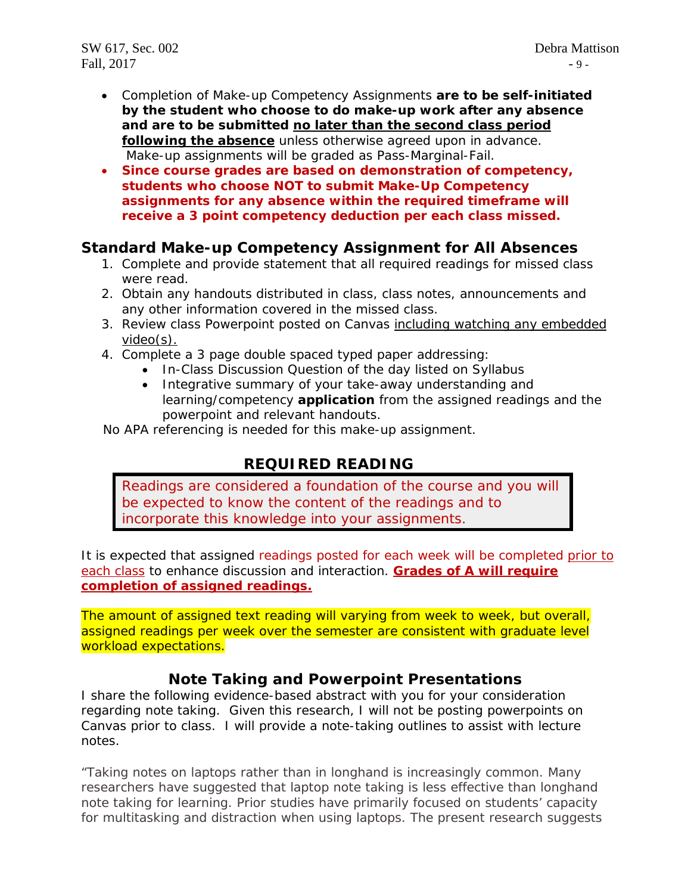SW 617, Sec. 002 Debra Mattison Fall,  $2017$  - 9 -

- Completion of Make-up Competency Assignments **are to be self-initiated by the student who choose to do make-up work after any absence and are to be submitted no later than the second class period following the absence** unless otherwise agreed upon in advance. Make-up assignments will be graded as Pass-Marginal-Fail.
- **Since course grades are based on demonstration of competency, students who choose NOT to submit Make-Up Competency assignments for any absence within the required timeframe will receive a 3 point competency deduction per each class missed.**

# **Standard Make-up Competency Assignment for All Absences**

- 1. Complete and provide statement that all required readings for missed class were read.
- 2. Obtain any handouts distributed in class, class notes, announcements and any other information covered in the missed class.
- 3. Review class Powerpoint posted on Canvas including watching any embedded video(s).
- 4. Complete a 3 page double spaced typed paper addressing:
	- In-Class Discussion Question of the day listed on Syllabus
	- Integrative summary of your take-away understanding and learning/competency **application** from the assigned readings and the powerpoint and relevant handouts.

No APA referencing is needed for this make-up assignment.

# **REQUIRED READING**

Readings are considered a foundation of the course and you will be expected to know the content of the readings and to incorporate this knowledge into your assignments.

It is expected that assigned readings posted for each week will be completed prior to each class to enhance discussion and interaction. **Grades of A will require completion of assigned readings.** 

The amount of assigned text reading will varying from week to week, but overall, assigned readings per week over the semester are consistent with graduate level workload expectations.

# **Note Taking and Powerpoint Presentations**

I share the following evidence-based abstract with you for your consideration regarding note taking. Given this research, I will not be posting powerpoints on Canvas prior to class. I will provide a note-taking outlines to assist with lecture notes.

*"Taking notes on laptops rather than in longhand is increasingly common. Many researchers have suggested that laptop note taking is less effective than longhand note taking for learning. Prior studies have primarily focused on students' capacity for multitasking and distraction when using laptops. The present research suggests*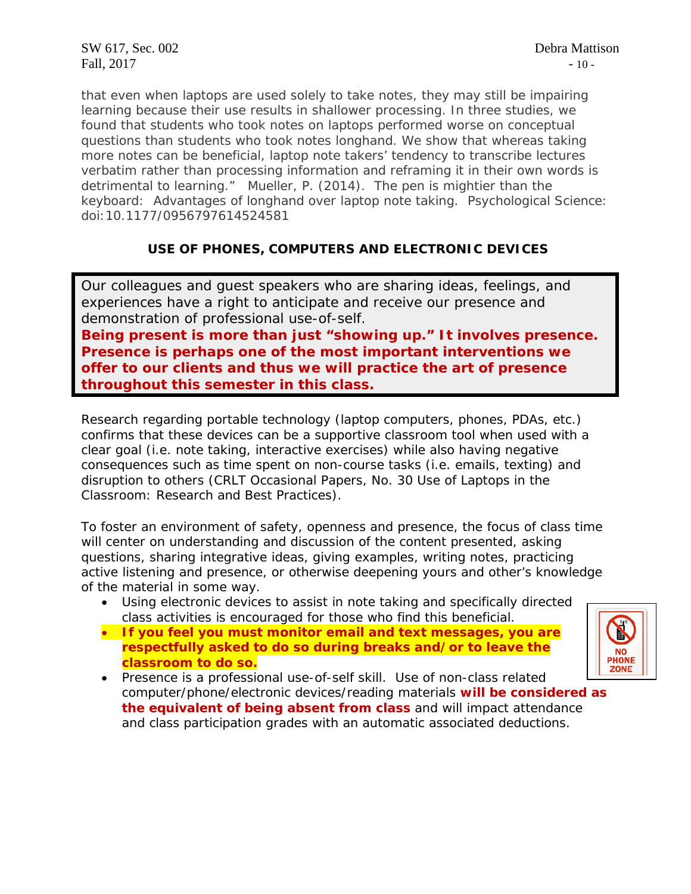*that even when laptops are used solely to take notes, they may still be impairing learning because their use results in shallower processing. In three studies, we found that students who took notes on laptops performed worse on conceptual questions than students who took notes longhand. We show that whereas taking more notes can be beneficial, laptop note takers' tendency to transcribe lectures verbatim rather than processing information and reframing it in their own words is detrimental to learning."* Mueller, P. (2014). The pen is mightier than the keyboard: Advantages of longhand over laptop note taking. *Psychological Science*: doi:10.1177/0956797614524581

# **USE OF PHONES, COMPUTERS AND ELECTRONIC DEVICES**

Our colleagues and guest speakers who are sharing ideas, feelings, and experiences have a right to anticipate and receive our presence and demonstration of professional use-of-self.

**Being** *present* **is more than just "showing up." It involves** *presence.* **Presence is perhaps one of the most important interventions we offer to our clients and thus we will practice the art of presence throughout this semester in this class.**

Research regarding portable technology (laptop computers, phones, PDAs, etc.) confirms that these devices can be a supportive classroom tool when used with a clear goal (i.e. note taking, interactive exercises) while also having negative consequences such as time spent on non-course tasks (i.e. emails, texting) and disruption to others *(CRLT Occasional Papers, No. 30 Use of Laptops in the Classroom: Research and Best Practices*).

To foster an environment of safety, openness and presence, the focus of class time will center on understanding and discussion of the content presented, asking questions, sharing integrative ideas, giving examples, writing notes, practicing active listening and presence, or otherwise deepening yours and other's knowledge of the material in some way.

- Using electronic devices to assist in note taking and specifically directed class activities is encouraged for those who find this beneficial.
- **If you feel you must monitor email and text messages, you are respectfully asked to do so during breaks and/or to leave the classroom to do so.**
- **HONE**
- *Presence is a professional use-of-self skill*. Use of non-class related computer/phone/electronic devices/reading materials **will be considered as the equivalent of being absent from class** and will impact attendance and class participation grades with an automatic associated deductions.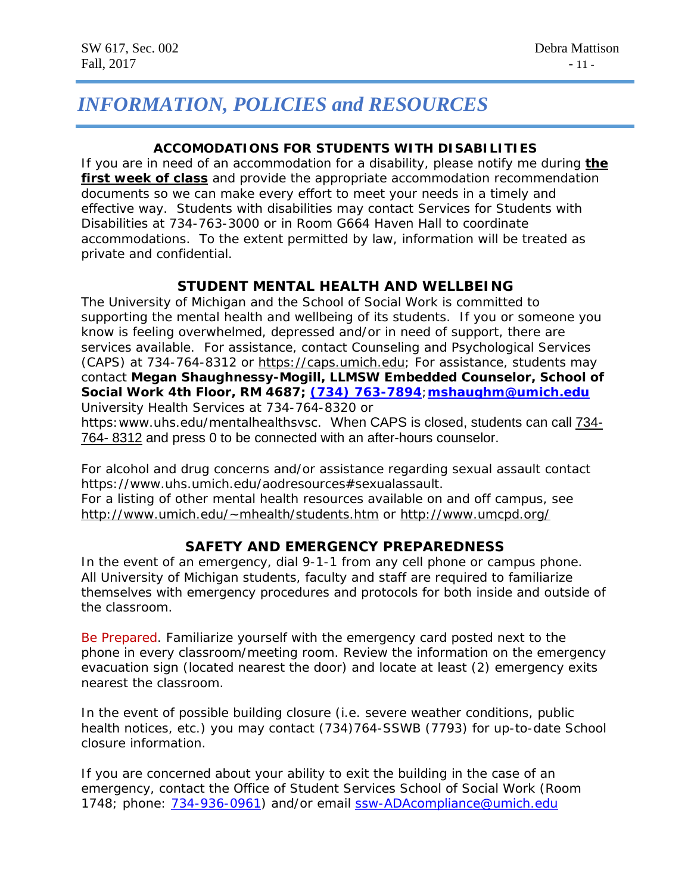# *INFORMATION, POLICIES and RESOURCES*

# **ACCOMODATIONS FOR STUDENTS WITH DISABILITIES**

If you are in need of an accommodation for a disability, please notify me during **the first week of class** and provide the appropriate accommodation recommendation documents so we can make every effort to meet your needs in a timely and effective way. Students with disabilities may contact Services for Students with Disabilities at 734-763-3000 or in Room G664 Haven Hall to coordinate accommodations. To the extent permitted by law, information will be treated as private and confidential.

# **STUDENT MENTAL HEALTH AND WELLBEING**

The University of Michigan and the School of Social Work is committed to supporting the mental health and wellbeing of its students. If you or someone you know is feeling overwhelmed, depressed and/or in need of support, there are services available. For assistance, contact Counseling and Psychological Services (CAPS) at 734-764-8312 or [https://caps.umich.edu;](https://caps.umich.edu/) For assistance, students may contact **Megan Shaughnessy-Mogill, LLMSW Embedded Counselor, School of Social Work 4th Floor, RM 4687; [\(734\) 763-7894](tel:(734)%20763-7894)**;**[mshaughm@umich.edu](mailto:mshaughm@umich.edu)** University Health Services at 734-764-8320 or

https:www.uhs.edu/mentalhealthsvsc. When CAPS is closed, students can call [734-](tel:(734)%20764-8312) 764- [8312](tel:(734)%20764-8312) and press 0 to be connected with an after-hours counselor.

For alcohol and drug concerns and/or assistance regarding sexual assault contact https://www.uhs.umich.edu/aodresources#sexualassault.

For a listing of other mental health resources available on and off campus, see [http://www.umich.edu/~mhealth/students.htm](http://www.umich.edu/%7Emhealth/students.htm) or<http://www.umcpd.org/>

# **SAFETY AND EMERGENCY PREPAREDNESS**

In the event of an emergency, dial 9-1-1 from any cell phone or campus phone. All University of Michigan students, faculty and staff are required to familiarize themselves with emergency procedures and protocols for both inside and outside of the classroom.

Be Prepared. Familiarize yourself with the emergency card posted next to the phone in every classroom/meeting room. Review the information on the emergency evacuation sign (located nearest the door) and locate at least (2) emergency exits nearest the classroom.

In the event of possible building closure (i.e. severe weather conditions, public health notices, etc.) you may contact (734)764-SSWB (7793) for up-to-date School closure information.

If you are concerned about your ability to exit the building in the case of an emergency, contact the Office of Student Services School of Social Work (Room 1748; phone: [734-936-0961\)](tel:734-936-0961) and/or email [ssw-ADAcompliance@umich.edu](mailto:ssw-ADAcompliance@umich.edu)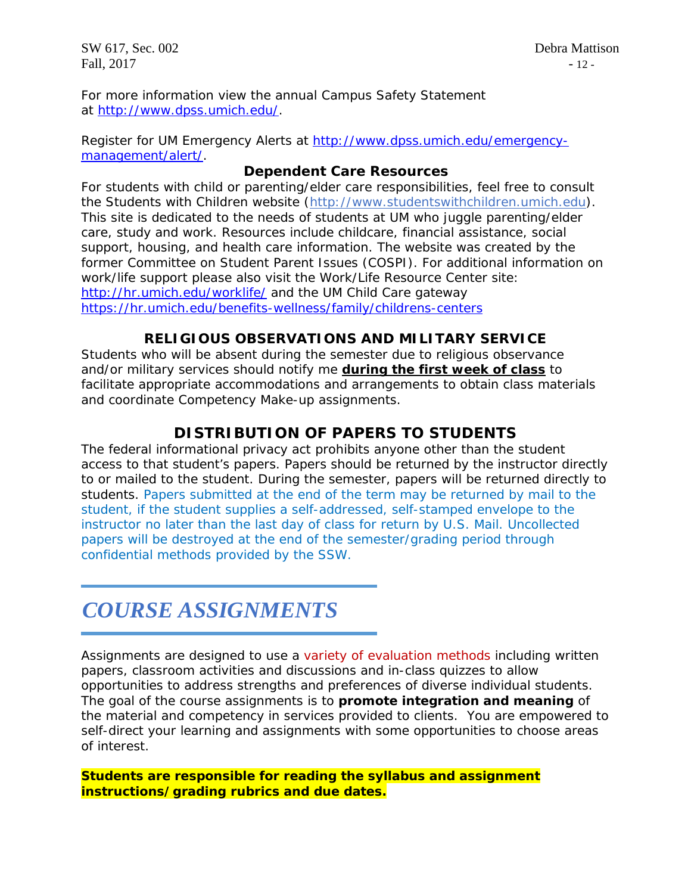SW 617, Sec. 002 Debra Mattison Fall,  $2017$  - 12 -

For more information view the annual Campus Safety Statement at [http://www.dpss.umich.edu/.](http://www.dpss.umich.edu/)

Register for UM Emergency Alerts at [http://www.dpss.umich.edu/emergency](http://www.dpss.umich.edu/emergency-management/alert/)[management/alert/.](http://www.dpss.umich.edu/emergency-management/alert/)

# **Dependent Care Resources**

For students with child or parenting/elder care responsibilities, feel free to consult the Students with Children website [\(http://www.studentswithchildren.umich.edu\)](http://www.studentswithchildren.umich.edu/). This site is dedicated to the needs of students at UM who juggle parenting/elder care, study and work. Resources include childcare, financial assistance, social support, housing, and health care information. The website was created by the former Committee on Student Parent Issues (COSPI). For additional information on work/life support please also visit the Work/Life Resource Center site: <http://hr.umich.edu/worklife/> and the UM Child Care gateway <https://hr.umich.edu/benefits-wellness/family/childrens-centers>

# **RELIGIOUS OBSERVATIONS AND MILITARY SERVICE**

Students who will be absent during the semester due to religious observance and/or military services should notify me **during the first week of class** to facilitate appropriate accommodations and arrangements to obtain class materials and coordinate Competency Make-up assignments.

# **DISTRIBUTION OF PAPERS TO STUDENTS**

The federal informational privacy act prohibits anyone other than the student access to that student's papers. Papers should be returned by the instructor directly to or mailed to the student. During the semester, papers will be returned directly to students. Papers submitted at the end of the term may be returned by mail to the student, if the student supplies a self-addressed, self-stamped envelope to the instructor no later than the last day of class for return by U.S. Mail. Uncollected papers will be destroyed at the end of the semester/grading period through confidential methods provided by the SSW.

# *COURSE ASSIGNMENTS*

Assignments are designed to use a variety of evaluation methods including written papers, classroom activities and discussions and in-class quizzes to allow opportunities to address strengths and preferences of diverse individual students. The goal of the course assignments is to **promote integration and meaning** of the material and competency in services provided to clients. You are empowered to self-direct your learning and assignments with some opportunities to choose areas of interest.

**Students are responsible for reading the syllabus and assignment instructions/grading rubrics and due dates.**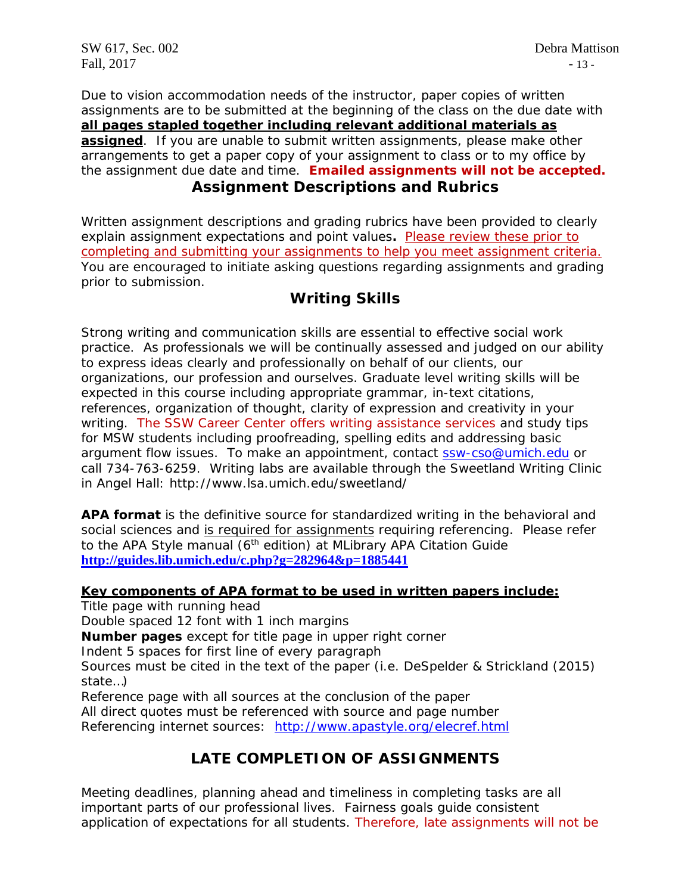Due to vision accommodation needs of the instructor, paper copies of written assignments are to be submitted at the beginning of the class on the due date with **all pages stapled together including relevant additional materials as assigned**. If you are unable to submit written assignments, please make other arrangements to get a paper copy of your assignment to class or to my office by the assignment due date and time. **Emailed assignments will not be accepted. Assignment Descriptions and Rubrics**

Written assignment descriptions and grading rubrics have been provided to clearly explain assignment expectations and point values**.** Please review these prior to completing and submitting your assignments to help you meet assignment criteria. You are encouraged to initiate asking questions regarding assignments and grading prior to submission.

# **Writing Skills**

Strong writing and communication skills are essential to effective social work practice. As professionals we will be continually assessed and judged on our ability to express ideas clearly and professionally on behalf of our clients, our organizations, our profession and ourselves. Graduate level writing skills will be expected in this course including appropriate grammar, in-text citations, references, organization of thought, clarity of expression and creativity in your writing. The SSW Career Center offers writing assistance services and study tips for MSW students including proofreading, spelling edits and addressing basic argument flow issues. To make an appointment, contact [ssw-cso@umich.edu](mailto:ssw-cso@umich.edu) or call 734-763-6259. Writing labs are available through the Sweetland Writing Clinic in Angel Hall: http://www.lsa.umich.edu/sweetland/

**APA format** is the definitive source for standardized writing in the behavioral and social sciences and is required for assignments requiring referencing. Please refer to the APA Style manual (6<sup>th</sup> edition) at MLibrary APA Citation Guide **<http://guides.lib.umich.edu/c.php?g=282964&p=1885441>**

# **Key components of APA format to be used in written papers include:**

Title page with running head Double spaced 12 font with 1 inch margins **Number pages** except for title page in upper right corner Indent 5 spaces for first line of every paragraph Sources must be cited in the text of the paper (i.e. DeSpelder & Strickland (2015) state…) Reference page with all sources at the conclusion of the paper All direct quotes must be referenced with source and page number

Referencing internet sources: <http://www.apastyle.org/elecref.html>

# **LATE COMPLETION OF ASSIGNMENTS**

Meeting deadlines, planning ahead and timeliness in completing tasks are all important parts of our professional lives. Fairness goals guide consistent application of expectations for all students. Therefore, late assignments will not be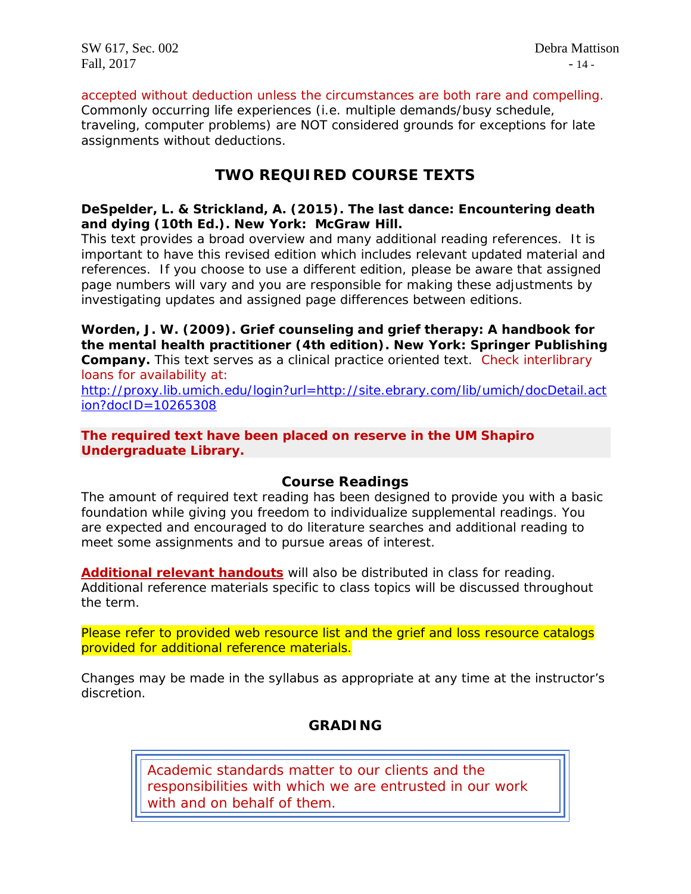accepted without deduction unless the circumstances are both rare and compelling. Commonly occurring life experiences (i.e. multiple demands/busy schedule, traveling, computer problems) are NOT considered grounds for exceptions for late assignments without deductions.

# **TWO REQUIRED COURSE TEXTS**

# **DeSpelder, L. & Strickland, A. (2015).** *The last dance: Encountering death and dying* **(10th Ed.). New York: McGraw Hill.**

*This text provides a broad overview and many additional reading references. It is important to have this revised edition which includes relevant updated material and references.* If you choose to use a different edition, please be aware that assigned page numbers will vary and you are responsible for making these adjustments by investigating updates and assigned page differences between editions.

**Worden, J. W. (2009).** *Grief counseling and grief therapy: A handbook for the mental health practitioner* **(4th edition). New York: Springer Publishing Company.** *This text serves as a clinical practice oriented text.* Check interlibrary loans for availability at:

[http://proxy.lib.umich.edu/login?url=http://site.ebrary.com/lib/umich/docDetail.act](http://proxy.lib.umich.edu/login?url=http://site.ebrary.com/lib/umich/docDetail.action?docID=10265308) [ion?docID=10265308](http://proxy.lib.umich.edu/login?url=http://site.ebrary.com/lib/umich/docDetail.action?docID=10265308)

# **The required text have been placed on reserve in the UM Shapiro Undergraduate Library.**

# **Course Readings**

The amount of required text reading has been designed to provide you with a basic foundation while giving you freedom to individualize supplemental readings. You are expected and encouraged to do literature searches and additional reading to meet some assignments and to pursue areas of interest.

**Additional relevant handouts** will also be distributed in class for reading. Additional reference materials specific to class topics will be discussed throughout the term.

Please refer to provided web resource list and the grief and loss resource catalogs provided for additional reference materials.

Changes may be made in the syllabus as appropriate at any time at the instructor's discretion.

# **GRADING**

*Academic standards matter to our clients and the responsibilities with which we are entrusted in our work with and on behalf of them.*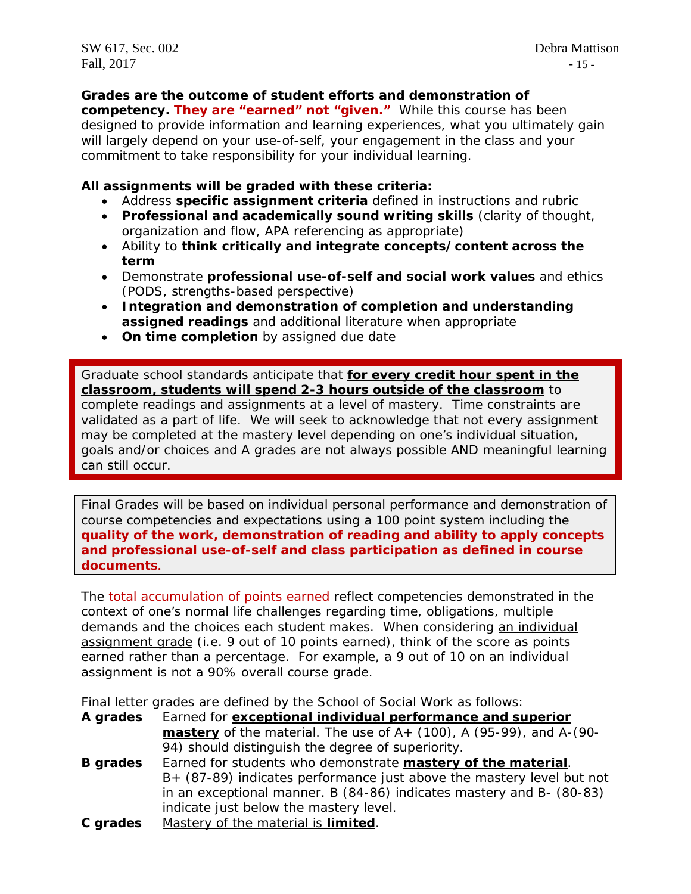SW 617, Sec. 002 Debra Mattison Fall,  $2017$  - 15 -

**Grades are the outcome of student efforts and demonstration of** 

**competency.** *They are "earned" not "given."* While this course has been designed to provide information and learning experiences, what you ultimately gain will largely depend on your use-of-self, your engagement in the class and your commitment to take responsibility for your individual learning.

# **All assignments will be graded with these criteria:**

- Address **specific assignment criteria** defined in instructions and rubric
- **Professional and academically sound writing skills** (clarity of thought, organization and flow, APA referencing as appropriate)
- Ability to **think critically and integrate concepts/content across the term**
- Demonstrate **professional use-of-self and social work values** and ethics (PODS, strengths-based perspective)
- **Integration and demonstration of completion and understanding assigned readings** and additional literature when appropriate
- **On time completion** by assigned due date

Graduate school standards anticipate that **for every credit hour spent in the classroom, students will spend 2-3 hours outside of the classroom** to complete readings and assignments at a level of mastery. Time constraints are validated as a part of life. We will seek to acknowledge that not every assignment may be completed at the mastery level depending on one's individual situation, goals and/or choices and A grades are not always possible AND meaningful learning can still occur.

Final Grades will be based on individual personal performance and demonstration of course competencies and expectations using a 100 point system including the **quality of the work, demonstration of reading and ability to apply concepts and professional use-of-self and class participation as defined in course documents.** 

The total accumulation of points earned reflect competencies demonstrated in the context of one's normal life challenges regarding time, obligations, multiple demands and the choices each student makes. When considering an individual assignment grade (i.e. 9 out of 10 points earned), think of the score as points earned rather than a percentage. For example, a 9 out of 10 on an individual assignment is not a 90% overall course grade.

Final letter grades are defined by the School of Social Work as follows:

| A grades        | Earned for exceptional individual performance and superior                     |  |  |  |
|-----------------|--------------------------------------------------------------------------------|--|--|--|
|                 | <b>mastery</b> of the material. The use of $A+$ (100), A (95-99), and $A-(90-$ |  |  |  |
|                 | 94) should distinguish the degree of superiority.                              |  |  |  |
| <b>B</b> grades | Earned for students who demonstrate mastery of the material.                   |  |  |  |
|                 | B+ (87-89) indicates performance just above the mastery level but not          |  |  |  |
|                 | in an exceptional manner. B (84-86) indicates mastery and B- (80-83)           |  |  |  |
|                 | indicate just below the mastery level.                                         |  |  |  |
| C grades        | Mastery of the material is limited.                                            |  |  |  |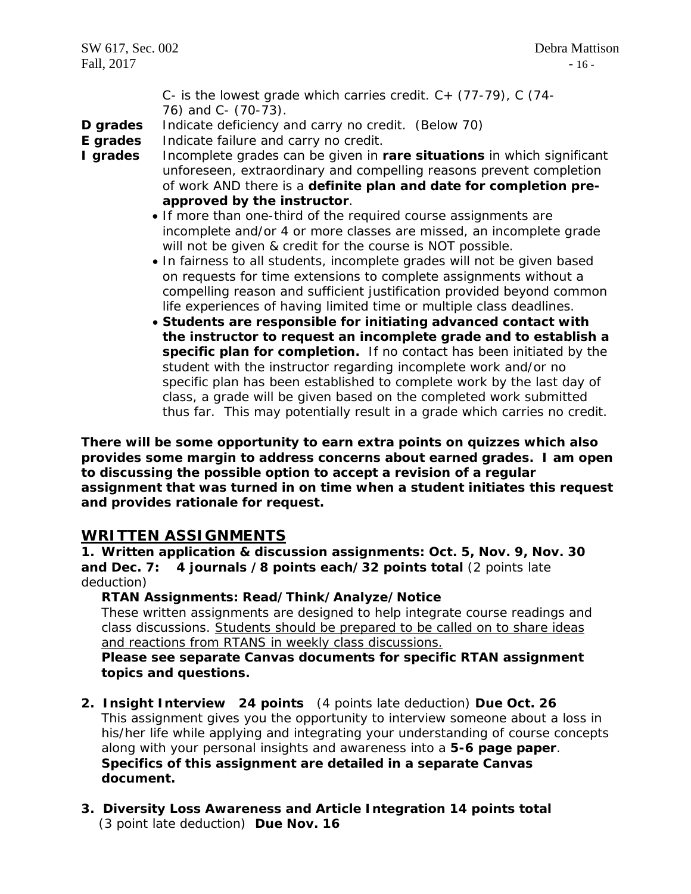C- is the lowest grade which carries credit.  $C + (77-79)$ , C (74-76) and C- (70-73).

**D grades** Indicate deficiency and carry no credit. (Below 70)

- **E grades** Indicate failure and carry no credit.
- **I grades** Incomplete grades can be given in **rare situations** in which significant unforeseen, extraordinary and compelling reasons prevent completion of work AND there is a **definite plan and date for completion preapproved by the instructor**.
	- If more than one-third of the required course assignments are incomplete and/or 4 or more classes are missed, an incomplete grade will not be given & credit for the course is NOT possible.
	- In fairness to all students, incomplete grades will not be given based on requests for time extensions to complete assignments without a compelling reason and sufficient justification provided beyond common life experiences of having limited time or multiple class deadlines.
	- **Students are responsible for initiating advanced contact with the instructor to request an incomplete grade and to establish a specific plan for completion.** If no contact has been initiated by the student with the instructor regarding incomplete work and/or no specific plan has been established to complete work by the last day of class, a grade will be given based on the completed work submitted thus far. This may potentially result in a grade which carries no credit.

**There will be some opportunity to earn extra points on quizzes which also provides some margin to address concerns about earned grades. I am open to discussing the possible option to accept a revision of a regular assignment that was turned in on time when a student initiates this request and provides rationale for request.**

# **WRITTEN ASSIGNMENTS**

**1. Written application & discussion assignments: Oct. 5, Nov. 9, Nov. 30 and Dec. 7: 4 journals /8 points each/32 points total** (2 points late deduction)

# **RTAN Assignments: Read/Think/Analyze/Notice**

These written assignments are designed to help integrate course readings and class discussions. Students should be prepared to be called on to share ideas and reactions from RTANS in weekly class discussions.

**Please see separate Canvas documents for specific RTAN assignment topics and questions.** 

- **2. Insight Interview 24 points** (4 points late deduction) **Due Oct. 26** This assignment gives you the opportunity to interview someone about a loss in his/her life while applying and integrating your understanding of course concepts along with your personal insights and awareness into a **5-6 page paper**. **Specifics of this assignment are detailed in a separate Canvas document.**
- **3. Diversity Loss Awareness and Article Integration 14 points total** (3 point late deduction) **Due Nov. 16**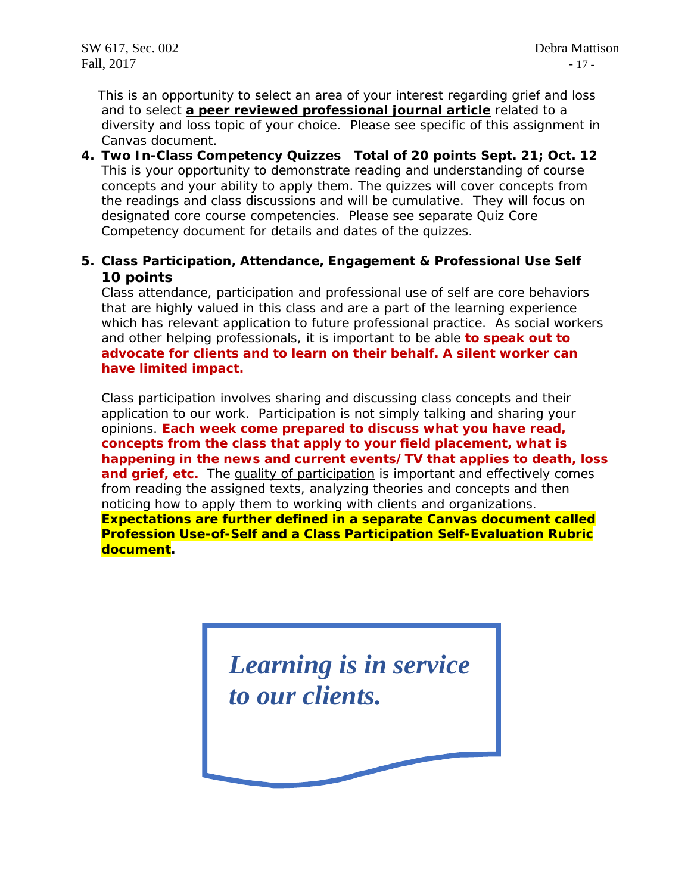This is an opportunity to select an area of your interest regarding grief and loss and to select **a peer reviewed professional journal article** related to a diversity and loss topic of your choice. Please see specific of this assignment in Canvas document.

- **4. Two In-Class Competency Quizzes Total of 20 points Sept. 21; Oct. 12** This is your opportunity to demonstrate reading and understanding of course concepts and your ability to apply them. The quizzes will cover concepts from the readings and class discussions and will be cumulative. They will focus on designated core course competencies. Please see separate Quiz Core Competency document for details and dates of the quizzes.
- **5. Class Participation, Attendance, Engagement & Professional Use Self 10 points**

Class attendance, participation and professional use of self are core behaviors that are highly valued in this class and are a part of the learning experience which has relevant application to future professional practice. As social workers and other helping professionals, it is important to be able **to speak out to advocate for clients and to learn on their behalf. A silent worker can have limited impact.** 

Class participation involves sharing and discussing class concepts and their application to our work. Participation is not simply talking and sharing your opinions. **Each week come prepared to discuss what you have read, concepts from the class that apply to your field placement, what is happening in the news and current events/TV that applies to death, loss and grief, etc.** The quality of participation is important and effectively comes from reading the assigned texts, analyzing theories and concepts and then noticing how to apply them to working with clients and organizations. **Expectations are further defined in a separate Canvas document called Profession Use-of-Self and a Class Participation Self-Evaluation Rubric document.**

> *Learning is in service to our clients.*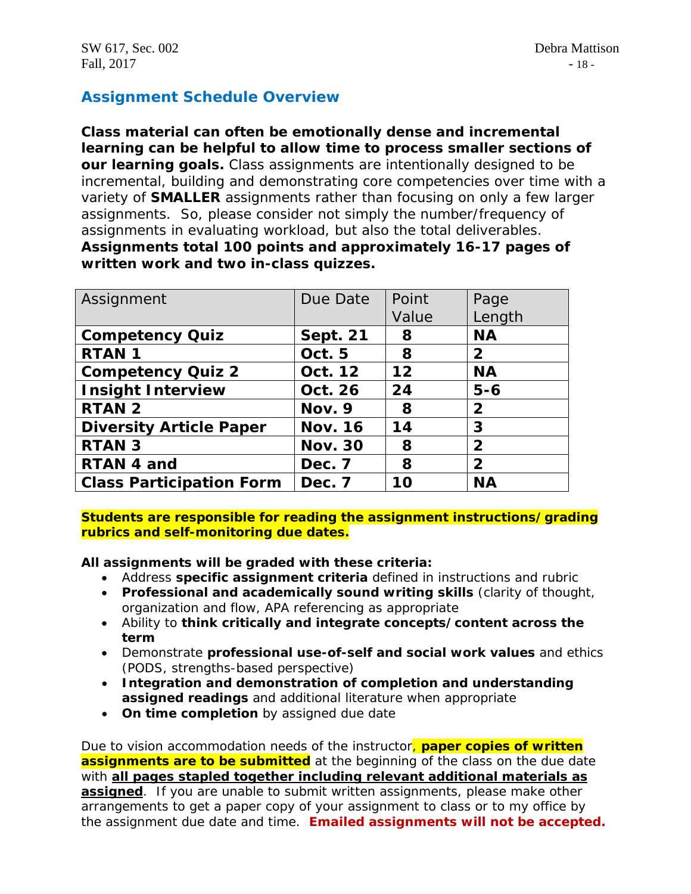# **Assignment Schedule Overview**

**Class material can often be emotionally dense and incremental learning can be helpful to allow time to process smaller sections of our learning goals.** Class assignments are intentionally designed to be incremental, building and demonstrating core competencies over time with a variety of **SMALLER** assignments rather than focusing on only a few larger assignments. So, please consider not simply the number/frequency of assignments in evaluating workload, but also the total deliverables. **Assignments total 100 points and approximately 16-17 pages of written work and two in-class quizzes.**

| Assignment                      | Due Date        | Point | Page           |
|---------------------------------|-----------------|-------|----------------|
|                                 |                 | Value | Length         |
| <b>Competency Quiz</b>          | <b>Sept. 21</b> | 8     | <b>NA</b>      |
| <b>RTAN1</b>                    | Oct. 5          | 8     | $\mathbf{2}$   |
| <b>Competency Quiz 2</b>        | Oct. 12         | 12    | <b>NA</b>      |
| <b>Insight Interview</b>        | Oct. 26         | 24    | $5 - 6$        |
| <b>RTAN 2</b>                   | Nov. 9          | 8     | $\overline{2}$ |
| <b>Diversity Article Paper</b>  | <b>Nov. 16</b>  | 14    | 3              |
| <b>RTAN 3</b>                   | <b>Nov. 30</b>  | 8     | $\overline{2}$ |
| RTAN 4 and                      | Dec. 7          | 8     | $\overline{2}$ |
| <b>Class Participation Form</b> | Dec. 7          | 10    | <b>NA</b>      |

**Students are responsible for reading the assignment instructions/grading rubrics and self-monitoring due dates.**

**All assignments will be graded with these criteria:**

- Address **specific assignment criteria** defined in instructions and rubric
- **Professional and academically sound writing skills** (clarity of thought, organization and flow, APA referencing as appropriate
- Ability to **think critically and integrate concepts/content across the term**
- Demonstrate **professional use-of-self and social work values** and ethics (PODS, strengths-based perspective)
- **Integration and demonstration of completion and understanding assigned readings** and additional literature when appropriate
- **On time completion** by assigned due date

Due to vision accommodation needs of the instructor, **paper copies of written assignments are to be submitted** at the beginning of the class on the due date with **all pages stapled together including relevant additional materials as assigned**. If you are unable to submit written assignments, please make other arrangements to get a paper copy of your assignment to class or to my office by the assignment due date and time. **Emailed assignments will not be accepted.**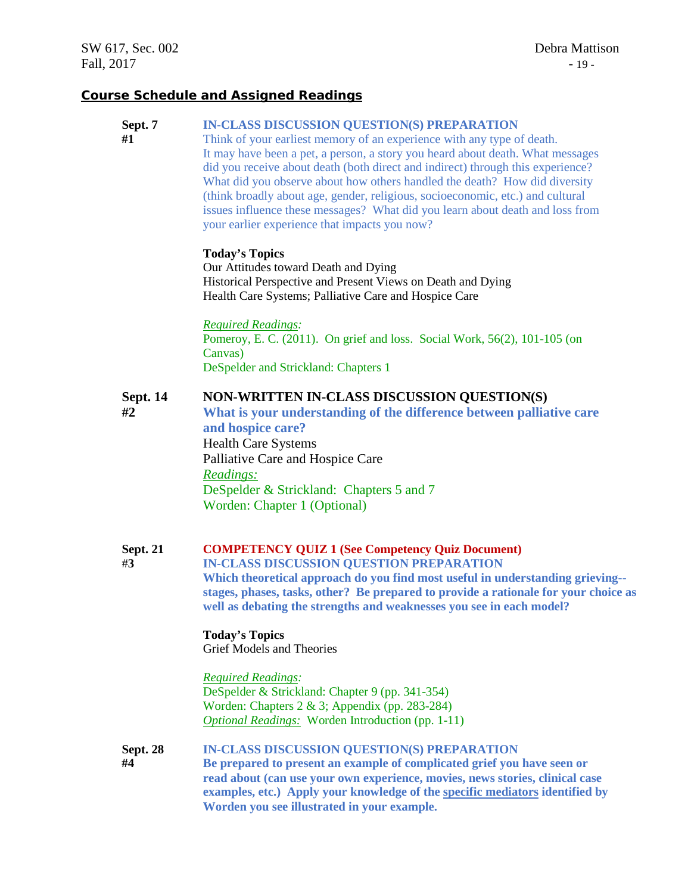### **Course Schedule and Assigned Readings**

#### **Sept. 7 IN-CLASS DISCUSSION QUESTION(S) PREPARATION**

**#1** Think of your earliest memory of an experience with any type of death. It may have been a pet, a person, a story you heard about death. What messages did you receive about death (both direct and indirect) through this experience? What did you observe about how others handled the death? How did diversity (think broadly about age, gender, religious, socioeconomic, etc.) and cultural issues influence these messages? What did you learn about death and loss from your earlier experience that impacts you now?

#### **Today's Topics**

Our Attitudes toward Death and Dying Historical Perspective and Present Views on Death and Dying Health Care Systems; Palliative Care and Hospice Care

*Required Readings:* Pomeroy, E. C. (2011). On grief and loss. Social Work, 56(2), 101-105 (on Canvas) DeSpelder and Strickland: Chapters 1

#### **Sept. 14 NON-WRITTEN IN-CLASS DISCUSSION QUESTION(S)**

**#2 What is your understanding of the difference between palliative care and hospice care?** Health Care Systems Palliative Care and Hospice Care *Readings:* DeSpelder & Strickland: Chapters 5 and 7 Worden: Chapter 1 (Optional)

### **Sept. 21 COMPETENCY QUIZ 1 (See Competency Quiz Document)**

#**3 IN-CLASS DISCUSSION QUESTION PREPARATION**

**Which theoretical approach do you find most useful in understanding grieving- stages, phases, tasks, other? Be prepared to provide a rationale for your choice as well as debating the strengths and weaknesses you see in each model?**

#### **Today's Topics** Grief Models and Theories

### *Required Readings:*

DeSpelder & Strickland: Chapter 9 (pp. 341-354) Worden: Chapters 2 & 3; Appendix (pp. 283-284) *Optional Readings:* Worden Introduction (pp. 1-11)

#### **Sept. 28 IN-CLASS DISCUSSION QUESTION(S) PREPARATION**

 **#4 Be prepared to present an example of complicated grief you have seen or read about (can use your own experience, movies, news stories, clinical case examples, etc.) Apply your knowledge of the specific mediators identified by Worden you see illustrated in your example.**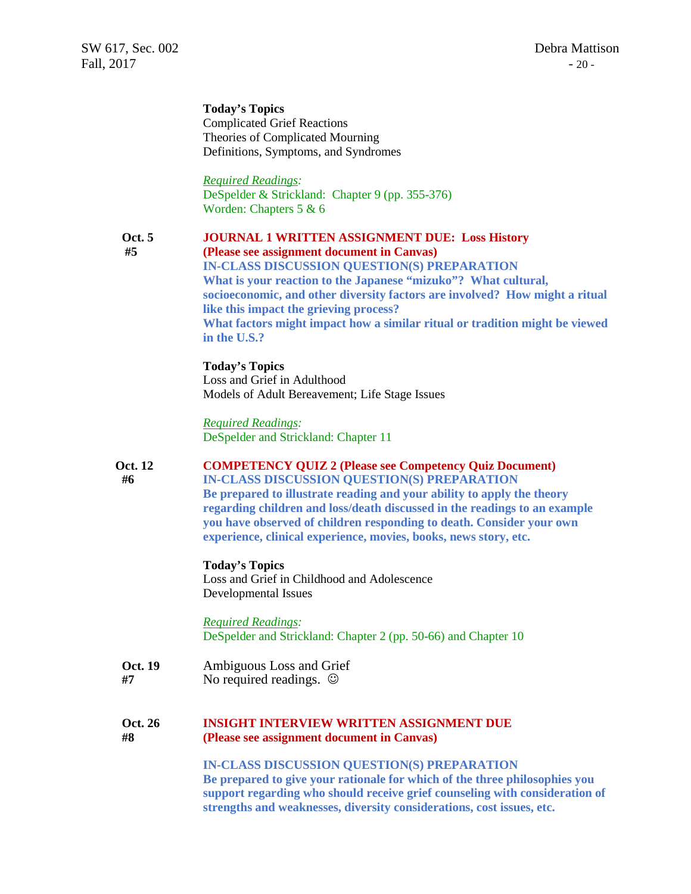**Today's Topics** Complicated Grief Reactions Theories of Complicated Mourning Definitions, Symptoms, and Syndromes

*Required Readings:* DeSpelder & Strickland: Chapter 9 (pp. 355-376) Worden: Chapters 5 & 6

#### **Oct. 5 JOURNAL 1 WRITTEN ASSIGNMENT DUE: Loss History #5 (Please see assignment document in Canvas) IN-CLASS DISCUSSION QUESTION(S) PREPARATION What is your reaction to the Japanese "mizuko"? What cultural, socioeconomic, and other diversity factors are involved? How might a ritual like this impact the grieving process? What factors might impact how a similar ritual or tradition might be viewed in the U.S.?**

**Today's Topics** Loss and Grief in Adulthood Models of Adult Bereavement; Life Stage Issues

*Required Readings:* DeSpelder and Strickland: Chapter 11

# **Oct. 12 COMPETENCY QUIZ 2 (Please see Competency Quiz Document)**

**#6 IN-CLASS DISCUSSION QUESTION(S) PREPARATION Be prepared to illustrate reading and your ability to apply the theory regarding children and loss/death discussed in the readings to an example you have observed of children responding to death. Consider your own experience, clinical experience, movies, books, news story, etc.**

#### **Today's Topics**

Loss and Grief in Childhood and Adolescence Developmental Issues

*Required Readings:* DeSpelder and Strickland: Chapter 2 (pp. 50-66) and Chapter 10

**Oct. 19** Ambiguous Loss and Grief **#7** No required readings.

#### **Oct. 26 INSIGHT INTERVIEW WRITTEN ASSIGNMENT DUE #8 (Please see assignment document in Canvas)**

**IN-CLASS DISCUSSION QUESTION(S) PREPARATION Be prepared to give your rationale for which of the three philosophies you support regarding who should receive grief counseling with consideration of strengths and weaknesses, diversity considerations, cost issues, etc.**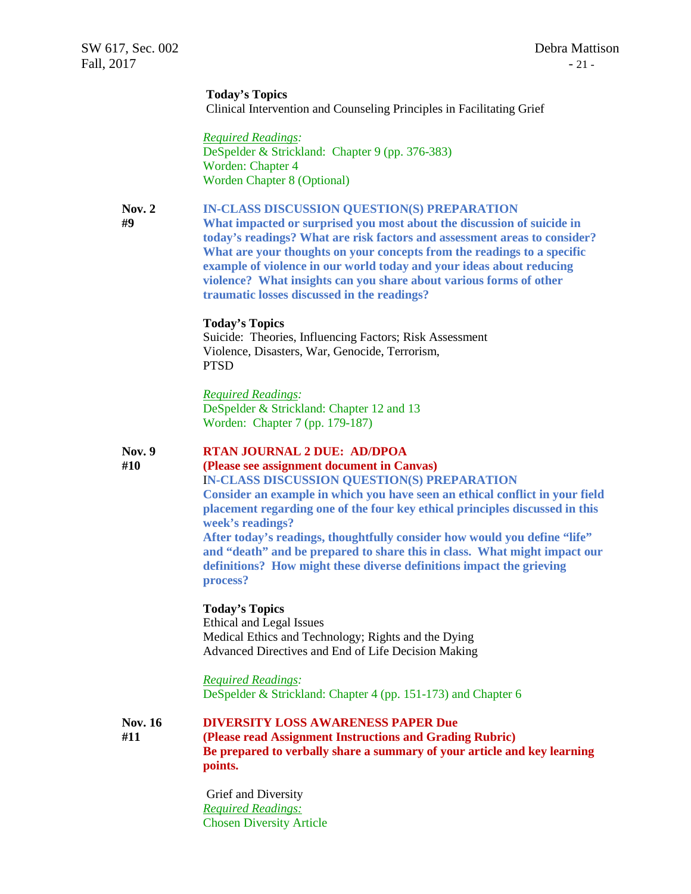#### **Today's Topics**

Clinical Intervention and Counseling Principles in Facilitating Grief

*Required Readings:* DeSpelder & Strickland: Chapter 9 (pp. 376-383) Worden: Chapter 4 Worden Chapter 8 (Optional)

#### **Nov. 2 IN-CLASS DISCUSSION QUESTION(S) PREPARATION**

 **#9 What impacted or surprised you most about the discussion of suicide in today's readings? What are risk factors and assessment areas to consider? What are your thoughts on your concepts from the readings to a specific example of violence in our world today and your ideas about reducing violence? What insights can you share about various forms of other traumatic losses discussed in the readings?**

# **Today's Topics**

Suicide: Theories, Influencing Factors; Risk Assessment Violence, Disasters, War, Genocide, Terrorism, PTSD

#### *Required Readings:*

DeSpelder & Strickland: Chapter 12 and 13 Worden: Chapter 7 (pp. 179-187)

#### **Nov. 9 RTAN JOURNAL 2 DUE: AD/DPOA**

**#10 (Please see assignment document in Canvas)**

I**N-CLASS DISCUSSION QUESTION(S) PREPARATION Consider an example in which you have seen an ethical conflict in your field placement regarding one of the four key ethical principles discussed in this week's readings?**

**After today's readings, thoughtfully consider how would you define "life" and "death" and be prepared to share this in class. What might impact our definitions? How might these diverse definitions impact the grieving process?**

#### **Today's Topics**

Ethical and Legal Issues Medical Ethics and Technology; Rights and the Dying Advanced Directives and End of Life Decision Making

*Required Readings:*

DeSpelder & Strickland: Chapter 4 (pp. 151-173) and Chapter 6

**Nov. 16 DIVERSITY LOSS AWARENESS PAPER Due #11 (Please read Assignment Instructions and Grading Rubric) Be prepared to verbally share a summary of your article and key learning points.**

> Grief and Diversity *Required Readings:* Chosen Diversity Article